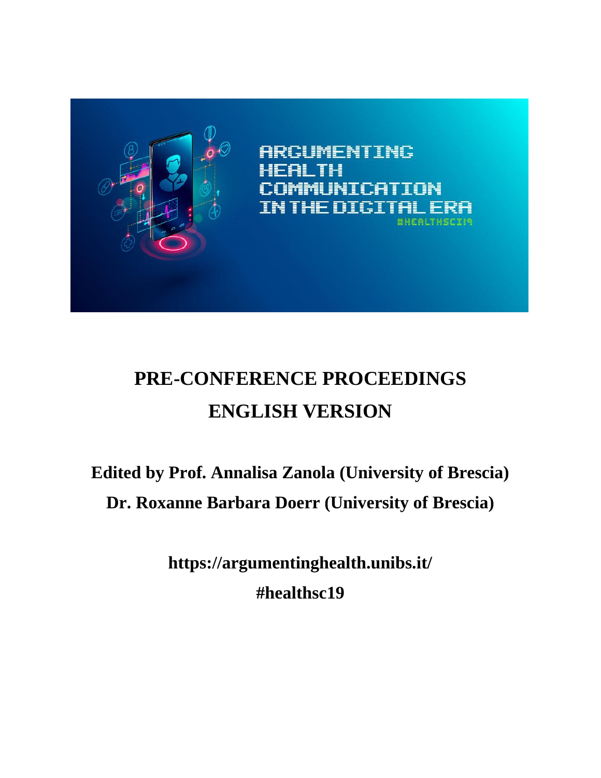

**ARGUMENTING** MUNICATION **THE DIGITA CHEALTHSCEIA** 

# **PRE-CONFERENCE PROCEEDINGS ENGLISH VERSION**

# **Edited by Prof. Annalisa Zanola (University of Brescia) Dr. Roxanne Barbara Doerr (University of Brescia)**

**https://argumentinghealth.unibs.it/ #healthsc19**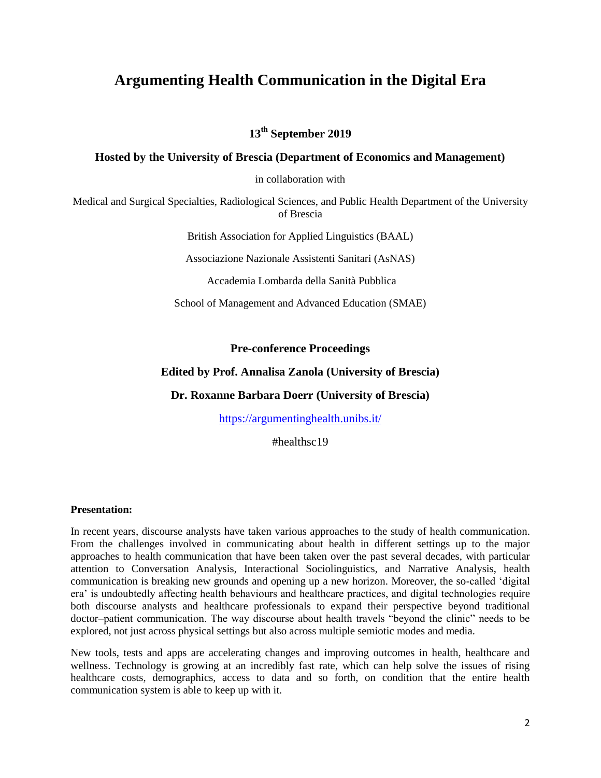# **Argumenting Health Communication in the Digital Era**

**13th September 2019**

# **Hosted by the University of Brescia (Department of Economics and Management)**

in collaboration with

Medical and Surgical Specialties, Radiological Sciences, and Public Health Department of the University of Brescia

British Association for Applied Linguistics (BAAL)

Associazione Nazionale Assistenti Sanitari (AsNAS)

Accademia Lombarda della Sanità Pubblica

School of Management and Advanced Education (SMAE)

# **Pre-conference Proceedings**

# **Edited by Prof. Annalisa Zanola (University of Brescia)**

# **Dr. Roxanne Barbara Doerr (University of Brescia)**

<https://argumentinghealth.unibs.it/>

#healthsc19

#### **Presentation:**

In recent years, discourse analysts have taken various approaches to the study of health communication. From the challenges involved in communicating about health in different settings up to the major approaches to health communication that have been taken over the past several decades, with particular attention to Conversation Analysis, Interactional Sociolinguistics, and Narrative Analysis, health communication is breaking new grounds and opening up a new horizon. Moreover, the so-called 'digital era' is undoubtedly affecting health behaviours and healthcare practices, and digital technologies require both discourse analysts and healthcare professionals to expand their perspective beyond traditional doctor–patient communication. The way discourse about health travels "beyond the clinic" needs to be explored, not just across physical settings but also across multiple semiotic modes and media.

New tools, tests and apps are accelerating changes and improving outcomes in health, healthcare and wellness. Technology is growing at an incredibly fast rate, which can help solve the issues of rising healthcare costs, demographics, access to data and so forth, on condition that the entire health communication system is able to keep up with it.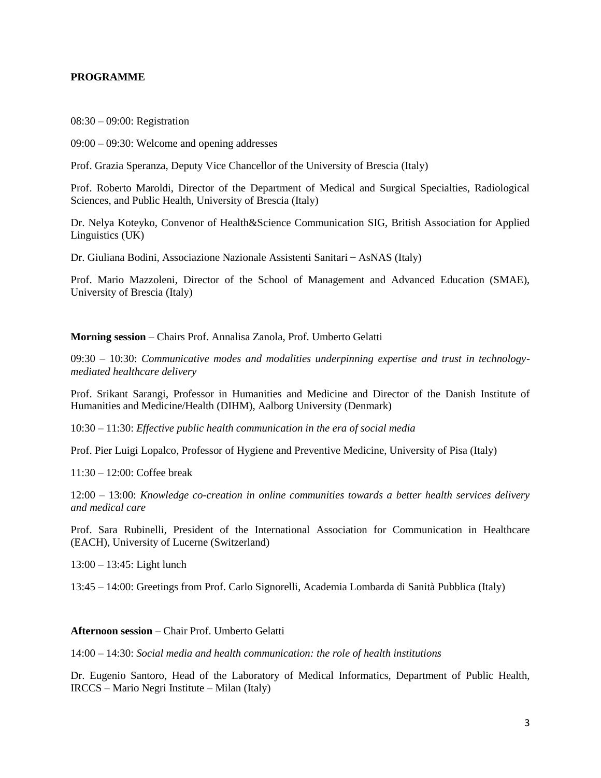#### **PROGRAMME**

08:30 – 09:00: Registration

09:00 – 09:30: Welcome and opening addresses

Prof. Grazia Speranza, Deputy Vice Chancellor of the University of Brescia (Italy)

Prof. Roberto Maroldi, Director of the Department of Medical and Surgical Specialties, Radiological Sciences, and Public Health, University of Brescia (Italy)

Dr. Nelya Koteyko, Convenor of Health&Science Communication SIG, British Association for Applied Linguistics (UK)

Dr. Giuliana Bodini, Associazione Nazionale Assistenti Sanitari ̶AsNAS (Italy)

Prof. Mario Mazzoleni, Director of the School of Management and Advanced Education (SMAE), University of Brescia (Italy)

**Morning session** – Chairs Prof. Annalisa Zanola, Prof. Umberto Gelatti

09:30 – 10:30: *Communicative modes and modalities underpinning expertise and trust in technologymediated healthcare delivery*

Prof. Srikant Sarangi, Professor in Humanities and Medicine and Director of the Danish Institute of Humanities and Medicine/Health (DIHM), Aalborg University (Denmark)

10:30 – 11:30: *Effective public health communication in the era of social media*

Prof. Pier Luigi Lopalco, Professor of Hygiene and Preventive Medicine, University of Pisa (Italy)

11:30 – 12:00: Coffee break

12:00 – 13:00: *Knowledge co-creation in online communities towards a better health services delivery and medical care*

Prof. Sara Rubinelli, President of the International Association for Communication in Healthcare (EACH), University of Lucerne (Switzerland)

13:00 – 13:45: Light lunch

13:45 – 14:00: Greetings from Prof. Carlo Signorelli, Academia Lombarda di Sanità Pubblica (Italy)

#### **Afternoon session** – Chair Prof. Umberto Gelatti

14:00 – 14:30: *Social media and health communication: the role of health institutions*

Dr. Eugenio Santoro, Head of the Laboratory of Medical Informatics, Department of Public Health, IRCCS – Mario Negri Institute – Milan (Italy)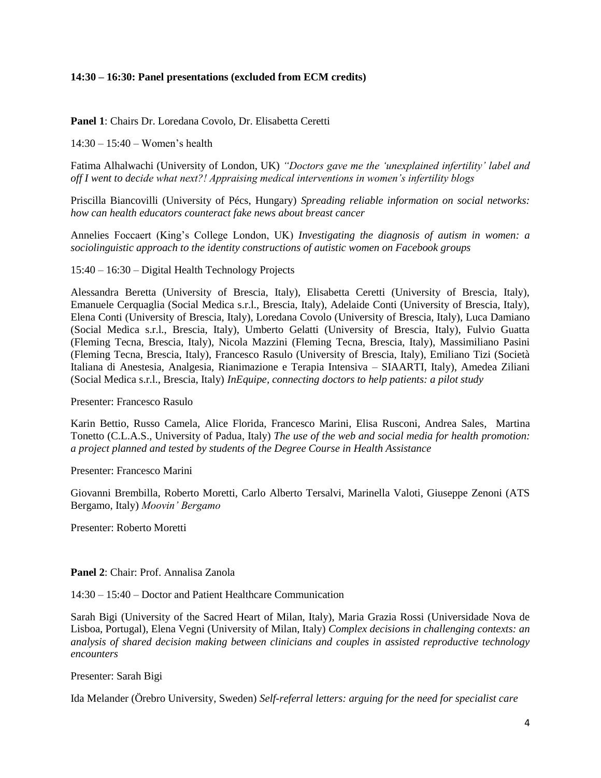#### **14:30 – 16:30: Panel presentations (excluded from ECM credits)**

#### **Panel 1**: Chairs Dr. Loredana Covolo, Dr. Elisabetta Ceretti

14:30 – 15:40 – Women's health

Fatima Alhalwachi (University of London, UK) *"Doctors gave me the 'unexplained infertility' label and off I went to decide what next?! Appraising medical interventions in women's infertility blogs*

Priscilla Biancovilli (University of Pécs, Hungary) *Spreading reliable information on social networks: how can health educators counteract fake news about breast cancer*

Annelies Foccaert (King's College London, UK) *Investigating the diagnosis of autism in women: a sociolinguistic approach to the identity constructions of autistic women on Facebook groups*

15:40 – 16:30 – Digital Health Technology Projects

Alessandra Beretta (University of Brescia, Italy), Elisabetta Ceretti (University of Brescia, Italy), Emanuele Cerquaglia (Social Medica s.r.l., Brescia, Italy), Adelaide Conti (University of Brescia, Italy), Elena Conti (University of Brescia, Italy), Loredana Covolo (University of Brescia, Italy), Luca Damiano (Social Medica s.r.l., Brescia, Italy), Umberto Gelatti (University of Brescia, Italy), Fulvio Guatta (Fleming Tecna, Brescia, Italy), Nicola Mazzini (Fleming Tecna, Brescia, Italy), Massimiliano Pasini (Fleming Tecna, Brescia, Italy), Francesco Rasulo (University of Brescia, Italy), Emiliano Tizi (Società Italiana di Anestesia, Analgesia, Rianimazione e Terapia Intensiva – SIAARTI, Italy), Amedea Ziliani (Social Medica s.r.l., Brescia, Italy) *InEquipe, connecting doctors to help patients: a pilot study*

Presenter: Francesco Rasulo

Karin Bettio, Russo Camela, Alice Florida, Francesco Marini, Elisa Rusconi, Andrea Sales, Martina Tonetto (C.L.A.S., University of Padua, Italy) *The use of the web and social media for health promotion: a project planned and tested by students of the Degree Course in Health Assistance*

Presenter: Francesco Marini

Giovanni Brembilla, Roberto Moretti, Carlo Alberto Tersalvi, Marinella Valoti, Giuseppe Zenoni (ATS Bergamo, Italy) *Moovin' Bergamo*

Presenter: Roberto Moretti

#### **Panel 2**: Chair: Prof. Annalisa Zanola

14:30 – 15:40 – Doctor and Patient Healthcare Communication

Sarah Bigi (University of the Sacred Heart of Milan, Italy), Maria Grazia Rossi (Universidade Nova de Lisboa, Portugal), Elena Vegni (University of Milan, Italy) *Complex decisions in challenging contexts: an analysis of shared decision making between clinicians and couples in assisted reproductive technology encounters*

Presenter: Sarah Bigi

Ida Melander (Örebro University, Sweden) *Self-referral letters: arguing for the need for specialist care*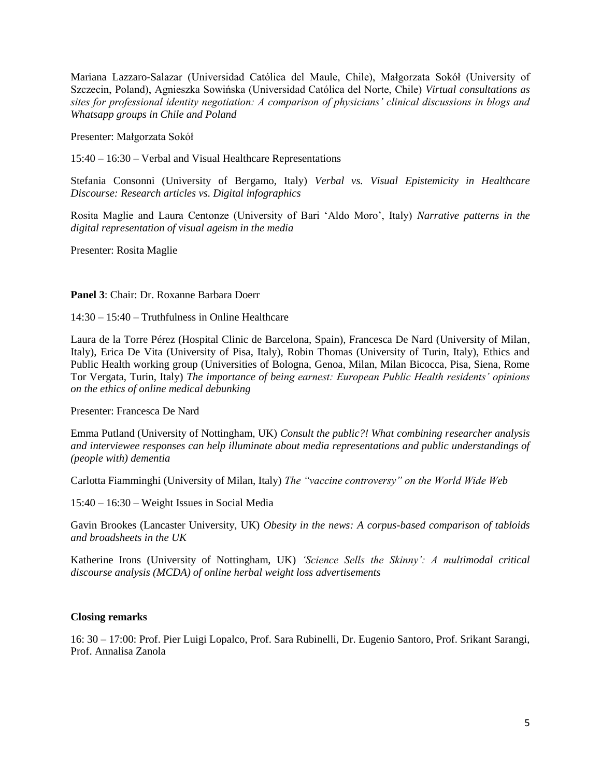Mariana Lazzaro-Salazar (Universidad Católica del Maule, Chile), Małgorzata Sokół (University of Szczecin, Poland), Agnieszka Sowińska (Universidad Católica del Norte, Chile) *Virtual consultations as sites for professional identity negotiation: A comparison of physicians' clinical discussions in blogs and Whatsapp groups in Chile and Poland*

Presenter: Małgorzata Sokół

15:40 – 16:30 – Verbal and Visual Healthcare Representations

Stefania Consonni (University of Bergamo, Italy) *Verbal vs. Visual Epistemicity in Healthcare Discourse: Research articles vs. Digital infographics* 

Rosita Maglie and Laura Centonze (University of Bari 'Aldo Moro', Italy) *Narrative patterns in the digital representation of visual ageism in the media*

Presenter: Rosita Maglie

#### **Panel 3**: Chair: Dr. Roxanne Barbara Doerr

 $14.30 - 15.40 -$  Truthfulness in Online Healthcare

Laura de la Torre Pérez (Hospital Clinic de Barcelona, Spain), Francesca De Nard (University of Milan, Italy), Erica De Vita (University of Pisa, Italy), Robin Thomas (University of Turin, Italy), Ethics and Public Health working group (Universities of Bologna, Genoa, Milan, Milan Bicocca, Pisa, Siena, Rome Tor Vergata, Turin, Italy) *The importance of being earnest: European Public Health residents' opinions on the ethics of online medical debunking*

Presenter: Francesca De Nard

Emma Putland (University of Nottingham, UK) *Consult the public?! What combining researcher analysis and interviewee responses can help illuminate about media representations and public understandings of (people with) dementia*

Carlotta Fiamminghi (University of Milan, Italy) *The "vaccine controversy" on the World Wide Web*

15:40 – 16:30 – Weight Issues in Social Media

Gavin Brookes (Lancaster University, UK) *Obesity in the news: A corpus-based comparison of tabloids and broadsheets in the UK*

Katherine Irons (University of Nottingham, UK) *'Science Sells the Skinny': A multimodal critical discourse analysis (MCDA) of online herbal weight loss advertisements*

# **Closing remarks**

16: 30 – 17:00: Prof. Pier Luigi Lopalco, Prof. Sara Rubinelli, Dr. Eugenio Santoro, Prof. Srikant Sarangi, Prof. Annalisa Zanola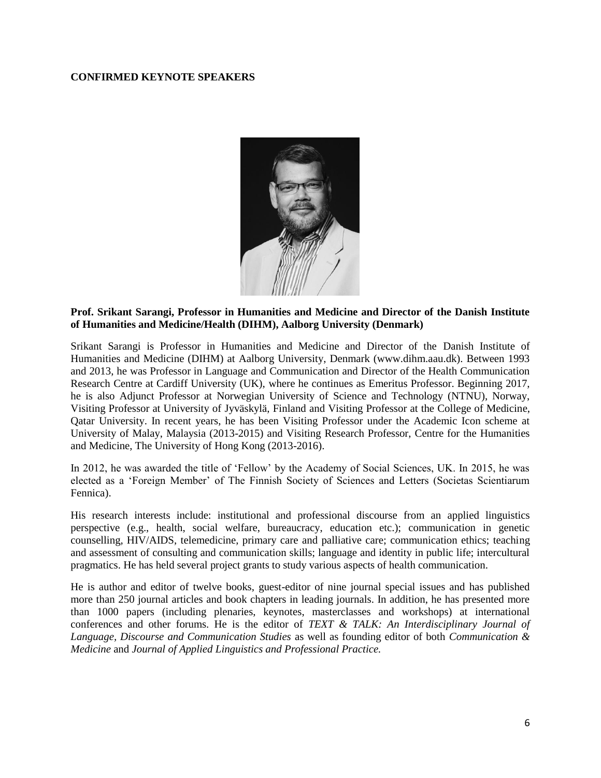#### **CONFIRMED KEYNOTE SPEAKERS**



# **Prof. Srikant Sarangi, Professor in Humanities and Medicine and Director of the Danish Institute of Humanities and Medicine/Health (DIHM), Aalborg University (Denmark)**

Srikant Sarangi is Professor in Humanities and Medicine and Director of the Danish Institute of Humanities and Medicine (DIHM) at Aalborg University, Denmark (www.dihm.aau.dk). Between 1993 and 2013, he was Professor in Language and Communication and Director of the Health Communication Research Centre at Cardiff University (UK), where he continues as Emeritus Professor. Beginning 2017, he is also Adjunct Professor at Norwegian University of Science and Technology (NTNU), Norway, Visiting Professor at University of Jyväskylä, Finland and Visiting Professor at the College of Medicine, Qatar University. In recent years, he has been Visiting Professor under the Academic Icon scheme at University of Malay, Malaysia (2013-2015) and Visiting Research Professor, Centre for the Humanities and Medicine, The University of Hong Kong (2013-2016).

In 2012, he was awarded the title of 'Fellow' by the Academy of Social Sciences, UK. In 2015, he was elected as a 'Foreign Member' of The Finnish Society of Sciences and Letters (Societas Scientiarum Fennica).

His research interests include: institutional and professional discourse from an applied linguistics perspective (e.g., health, social welfare, bureaucracy, education etc.); communication in genetic counselling, HIV/AIDS, telemedicine, primary care and palliative care; communication ethics; teaching and assessment of consulting and communication skills; language and identity in public life; intercultural pragmatics. He has held several project grants to study various aspects of health communication.

He is author and editor of twelve books, guest-editor of nine journal special issues and has published more than 250 journal articles and book chapters in leading journals. In addition, he has presented more than 1000 papers (including plenaries, keynotes, masterclasses and workshops) at international conferences and other forums. He is the editor of *TEXT & TALK: An Interdisciplinary Journal of Language, Discourse and Communication Studies* as well as founding editor of both *Communication & Medicine* and *Journal of Applied Linguistics and Professional Practice.*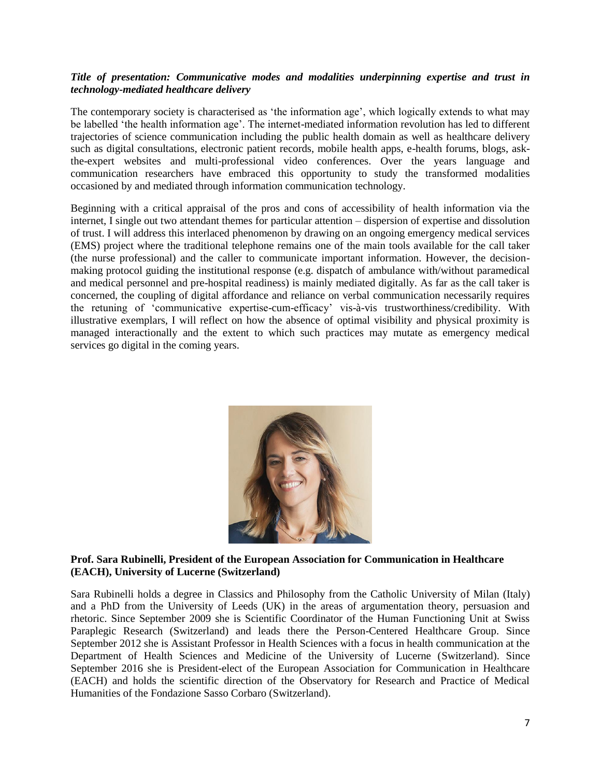# *Title of presentation: Communicative modes and modalities underpinning expertise and trust in technology-mediated healthcare delivery*

The contemporary society is characterised as 'the information age', which logically extends to what may be labelled 'the health information age'. The internet-mediated information revolution has led to different trajectories of science communication including the public health domain as well as healthcare delivery such as digital consultations, electronic patient records, mobile health apps, e-health forums, blogs, askthe-expert websites and multi-professional video conferences. Over the years language and communication researchers have embraced this opportunity to study the transformed modalities occasioned by and mediated through information communication technology.

Beginning with a critical appraisal of the pros and cons of accessibility of health information via the internet, I single out two attendant themes for particular attention – dispersion of expertise and dissolution of trust. I will address this interlaced phenomenon by drawing on an ongoing emergency medical services (EMS) project where the traditional telephone remains one of the main tools available for the call taker (the nurse professional) and the caller to communicate important information. However, the decisionmaking protocol guiding the institutional response (e.g. dispatch of ambulance with/without paramedical and medical personnel and pre-hospital readiness) is mainly mediated digitally. As far as the call taker is concerned, the coupling of digital affordance and reliance on verbal communication necessarily requires the retuning of 'communicative expertise-cum-efficacy' vis-à-vis trustworthiness/credibility. With illustrative exemplars, I will reflect on how the absence of optimal visibility and physical proximity is managed interactionally and the extent to which such practices may mutate as emergency medical services go digital in the coming years.



# **Prof. Sara Rubinelli, President of the European Association for Communication in Healthcare (EACH), University of Lucerne (Switzerland)**

Sara Rubinelli holds a degree in Classics and Philosophy from the Catholic University of Milan (Italy) and a PhD from the University of Leeds (UK) in the areas of argumentation theory, persuasion and rhetoric. Since September 2009 she is Scientific Coordinator of the Human Functioning Unit at Swiss Paraplegic Research (Switzerland) and leads there the Person-Centered Healthcare Group. Since September 2012 she is Assistant Professor in Health Sciences with a focus in health communication at the Department of Health Sciences and Medicine of the University of Lucerne (Switzerland). Since September 2016 she is President-elect of the European Association for Communication in Healthcare (EACH) and holds the scientific direction of the Observatory for Research and Practice of Medical Humanities of the Fondazione Sasso Corbaro (Switzerland).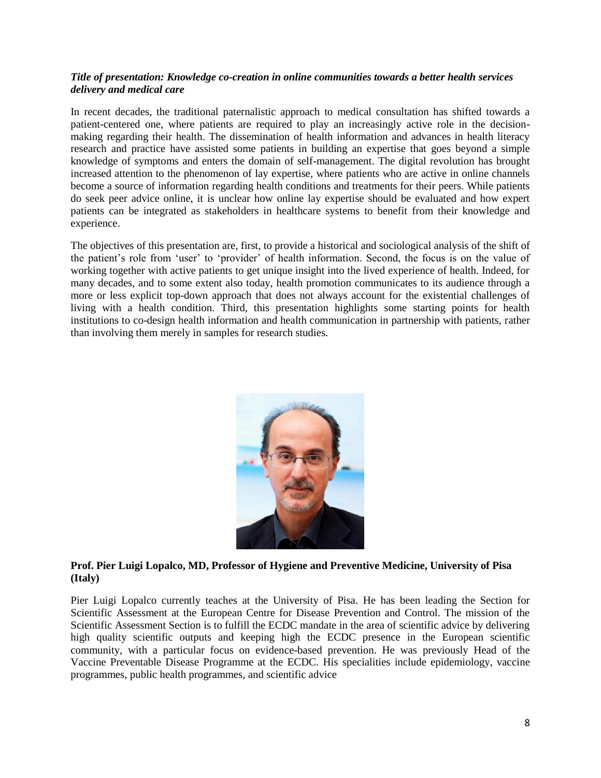# *Title of presentation: Knowledge co-creation in online communities towards a better health services delivery and medical care*

In recent decades, the traditional paternalistic approach to medical consultation has shifted towards a patient-centered one, where patients are required to play an increasingly active role in the decisionmaking regarding their health. The dissemination of health information and advances in health literacy research and practice have assisted some patients in building an expertise that goes beyond a simple knowledge of symptoms and enters the domain of self-management. The digital revolution has brought increased attention to the phenomenon of lay expertise, where patients who are active in online channels become a source of information regarding health conditions and treatments for their peers. While patients do seek peer advice online, it is unclear how online lay expertise should be evaluated and how expert patients can be integrated as stakeholders in healthcare systems to benefit from their knowledge and experience.

The objectives of this presentation are, first, to provide a historical and sociological analysis of the shift of the patient's role from 'user' to 'provider' of health information. Second, the focus is on the value of working together with active patients to get unique insight into the lived experience of health. Indeed, for many decades, and to some extent also today, health promotion communicates to its audience through a more or less explicit top-down approach that does not always account for the existential challenges of living with a health condition. Third, this presentation highlights some starting points for health institutions to co-design health information and health communication in partnership with patients, rather than involving them merely in samples for research studies.



# **Prof. Pier Luigi Lopalco, MD, Professor of Hygiene and Preventive Medicine, University of Pisa (Italy)**

Pier Luigi Lopalco currently teaches at the University of Pisa. He has been leading the Section for Scientific Assessment at the European Centre for Disease Prevention and Control. The mission of the Scientific Assessment Section is to fulfill the ECDC mandate in the area of scientific advice by delivering high quality scientific outputs and keeping high the ECDC presence in the European scientific community, with a particular focus on evidence-based prevention. He was previously Head of the Vaccine Preventable Disease Programme at the ECDC. His specialities include epidemiology, vaccine programmes, public health programmes, and scientific advice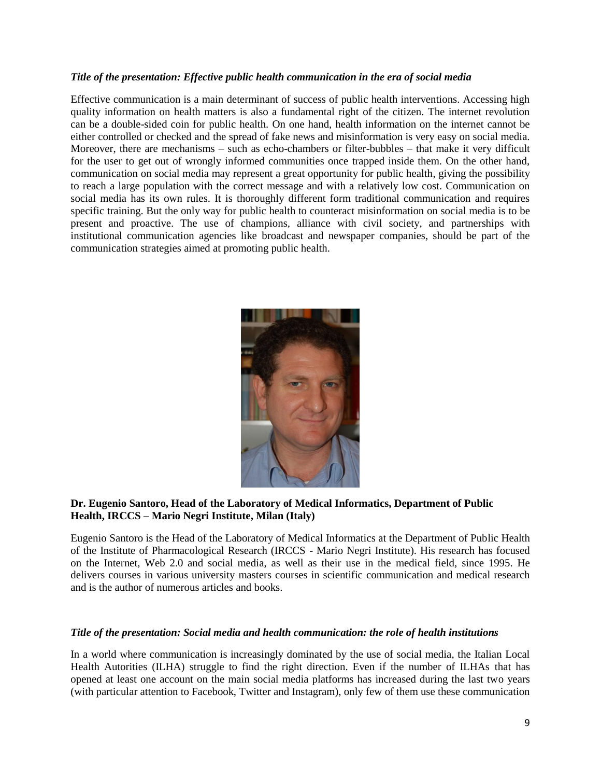# *Title of the presentation: Effective public health communication in the era of social media*

Effective communication is a main determinant of success of public health interventions. Accessing high quality information on health matters is also a fundamental right of the citizen. The internet revolution can be a double-sided coin for public health. On one hand, health information on the internet cannot be either controlled or checked and the spread of fake news and misinformation is very easy on social media. Moreover, there are mechanisms – such as echo-chambers or filter-bubbles – that make it very difficult for the user to get out of wrongly informed communities once trapped inside them. On the other hand, communication on social media may represent a great opportunity for public health, giving the possibility to reach a large population with the correct message and with a relatively low cost. Communication on social media has its own rules. It is thoroughly different form traditional communication and requires specific training. But the only way for public health to counteract misinformation on social media is to be present and proactive. The use of champions, alliance with civil society, and partnerships with institutional communication agencies like broadcast and newspaper companies, should be part of the communication strategies aimed at promoting public health.



# **Dr. Eugenio Santoro, Head of the Laboratory of Medical Informatics, Department of Public Health, IRCCS – Mario Negri Institute, Milan (Italy)**

Eugenio Santoro is the Head of the Laboratory of Medical Informatics at the Department of Public Health of the Institute of Pharmacological Research (IRCCS - Mario Negri Institute). His research has focused on the Internet, Web 2.0 and social media, as well as their use in the medical field, since 1995. He delivers courses in various university masters courses in scientific communication and medical research and is the author of numerous articles and books.

# *Title of the presentation: Social media and health communication: the role of health institutions*

In a world where communication is increasingly dominated by the use of social media, the Italian Local Health Autorities (ILHA) struggle to find the right direction. Even if the number of ILHAs that has opened at least one account on the main social media platforms has increased during the last two years (with particular attention to Facebook, Twitter and Instagram), only few of them use these communication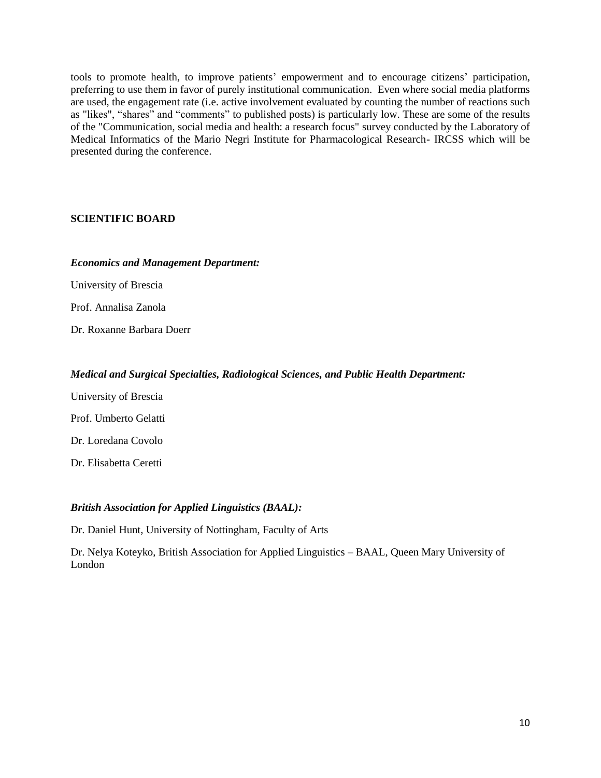tools to promote health, to improve patients' empowerment and to encourage citizens' participation, preferring to use them in favor of purely institutional communication. Even where social media platforms are used, the engagement rate (i.e. active involvement evaluated by counting the number of reactions such as "likes", "shares" and "comments" to published posts) is particularly low. These are some of the results of the "Communication, social media and health: a research focus" survey conducted by the Laboratory of Medical Informatics of the Mario Negri Institute for Pharmacological Research- IRCSS which will be presented during the conference.

# **SCIENTIFIC BOARD**

#### *Economics and Management Department:*

University of Brescia

Prof. Annalisa Zanola

Dr. Roxanne Barbara Doerr

# *Medical and Surgical Specialties, Radiological Sciences, and Public Health Department:*

University of Brescia Prof. Umberto Gelatti

Dr. Loredana Covolo

Dr. Elisabetta Ceretti

# *British Association for Applied Linguistics (BAAL):*

Dr. Daniel Hunt, University of Nottingham, Faculty of Arts

Dr. Nelya Koteyko, British Association for Applied Linguistics – BAAL, Queen Mary University of London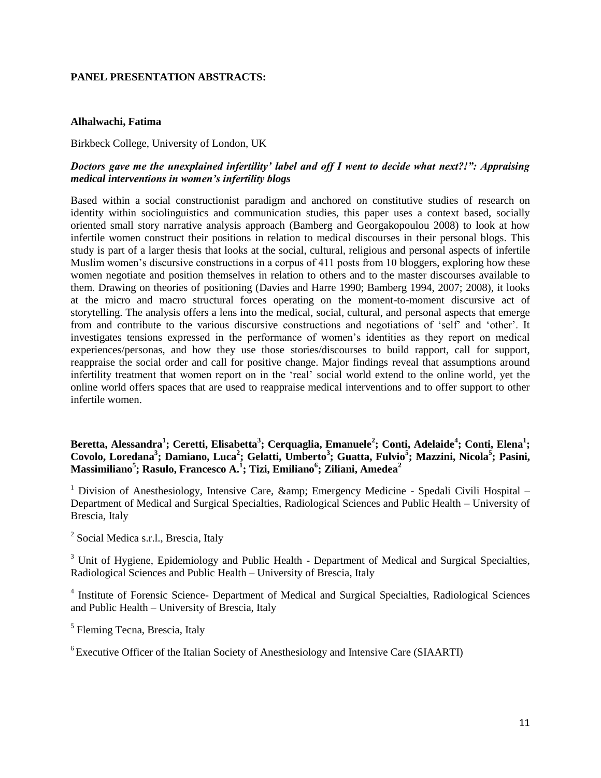#### **PANEL PRESENTATION ABSTRACTS:**

#### **Alhalwachi, Fatima**

Birkbeck College, University of London, UK

# *Doctors gave me the unexplained infertility' label and off I went to decide what next?!": Appraising medical interventions in women's infertility blogs*

Based within a social constructionist paradigm and anchored on constitutive studies of research on identity within sociolinguistics and communication studies, this paper uses a context based, socially oriented small story narrative analysis approach (Bamberg and Georgakopoulou 2008) to look at how infertile women construct their positions in relation to medical discourses in their personal blogs. This study is part of a larger thesis that looks at the social, cultural, religious and personal aspects of infertile Muslim women's discursive constructions in a corpus of 411 posts from 10 bloggers, exploring how these women negotiate and position themselves in relation to others and to the master discourses available to them. Drawing on theories of positioning (Davies and Harre 1990; Bamberg 1994, 2007; 2008), it looks at the micro and macro structural forces operating on the moment-to-moment discursive act of storytelling. The analysis offers a lens into the medical, social, cultural, and personal aspects that emerge from and contribute to the various discursive constructions and negotiations of 'self' and 'other'. It investigates tensions expressed in the performance of women's identities as they report on medical experiences/personas, and how they use those stories/discourses to build rapport, call for support, reappraise the social order and call for positive change. Major findings reveal that assumptions around infertility treatment that women report on in the 'real' social world extend to the online world, yet the online world offers spaces that are used to reappraise medical interventions and to offer support to other infertile women.

# **Beretta, Alessandra<sup>1</sup> ; Ceretti, Elisabetta<sup>3</sup> ; Cerquaglia, Emanuele<sup>2</sup> ; Conti, Adelaide<sup>4</sup> ; Conti, Elena<sup>1</sup> ; Covolo, Loredana<sup>3</sup> ; Damiano, Luca<sup>2</sup> ; Gelatti, Umberto<sup>3</sup> ; Guatta, Fulvio<sup>5</sup> ; Mazzini, Nicola<sup>5</sup> ; Pasini, Massimiliano<sup>5</sup> ; Rasulo, Francesco A.<sup>1</sup> ; Tizi, Emiliano<sup>6</sup> ; Ziliani, Amedea<sup>2</sup>**

<sup>1</sup> Division of Anesthesiology, Intensive Care,  $\&$ amp; Emergency Medicine - Spedali Civili Hospital – Department of Medical and Surgical Specialties, Radiological Sciences and Public Health – University of Brescia, Italy

<sup>2</sup> Social Medica s.r.l., Brescia, Italy

<sup>3</sup> Unit of Hygiene, Epidemiology and Public Health - Department of Medical and Surgical Specialties, Radiological Sciences and Public Health – University of Brescia, Italy

<sup>4</sup> Institute of Forensic Science- Department of Medical and Surgical Specialties, Radiological Sciences and Public Health – University of Brescia, Italy

<sup>5</sup> Fleming Tecna, Brescia, Italy

<sup>6</sup> Executive Officer of the Italian Society of Anesthesiology and Intensive Care (SIAARTI)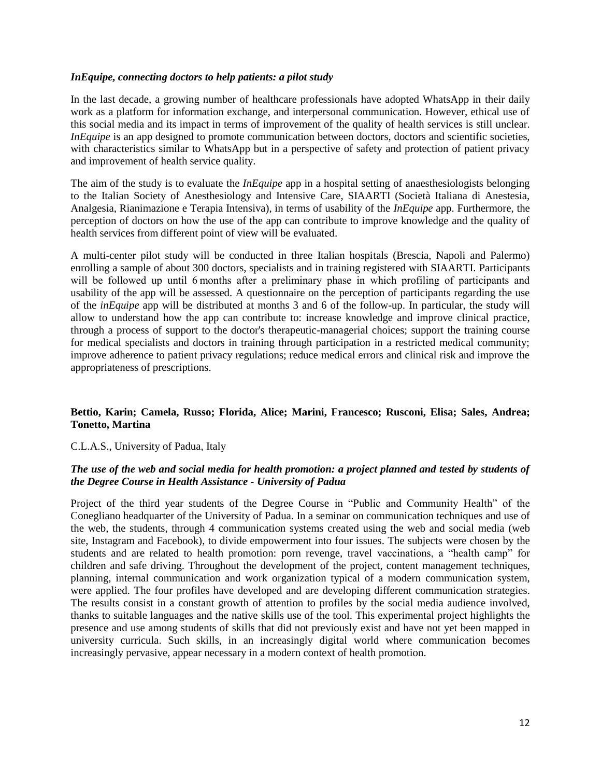#### *InEquipe, connecting doctors to help patients: a pilot study*

In the last decade, a growing number of healthcare professionals have adopted WhatsApp in their daily work as a platform for information exchange, and interpersonal communication. However, ethical use of this social media and its impact in terms of improvement of the quality of health services is still unclear. *InEquipe* is an app designed to promote communication between doctors, doctors and scientific societies, with characteristics similar to WhatsApp but in a perspective of safety and protection of patient privacy and improvement of health service quality.

The aim of the study is to evaluate the *InEquipe* app in a hospital setting of anaesthesiologists belonging to the Italian Society of Anesthesiology and Intensive Care, SIAARTI (Società Italiana di Anestesia, Analgesia, Rianimazione e Terapia Intensiva), in terms of usability of the *InEquipe* app. Furthermore, the perception of doctors on how the use of the app can contribute to improve knowledge and the quality of health services from different point of view will be evaluated.

A multi-center pilot study will be conducted in three Italian hospitals (Brescia, Napoli and Palermo) enrolling a sample of about 300 doctors, specialists and in training registered with SIAARTI. Participants will be followed up until 6 months after a preliminary phase in which profiling of participants and usability of the app will be assessed. A questionnaire on the perception of participants regarding the use of the *inEquipe* app will be distributed at months 3 and 6 of the follow-up. In particular, the study will allow to understand how the app can contribute to: increase knowledge and improve clinical practice, through a process of support to the doctor's therapeutic-managerial choices; support the training course for medical specialists and doctors in training through participation in a restricted medical community; improve adherence to patient privacy regulations; reduce medical errors and clinical risk and improve the appropriateness of prescriptions.

# **Bettio, Karin; Camela, Russo; Florida, Alice; Marini, Francesco; Rusconi, Elisa; Sales, Andrea; Tonetto, Martina**

# C.L.A.S., University of Padua, Italy

# *The use of the web and social media for health promotion: a project planned and tested by students of the Degree Course in Health Assistance - University of Padua*

Project of the third year students of the Degree Course in "Public and Community Health" of the Conegliano headquarter of the University of Padua. In a seminar on communication techniques and use of the web, the students, through 4 communication systems created using the web and social media (web site, Instagram and Facebook), to divide empowerment into four issues. The subjects were chosen by the students and are related to health promotion: porn revenge, travel vaccinations, a "health camp" for children and safe driving. Throughout the development of the project, content management techniques, planning, internal communication and work organization typical of a modern communication system, were applied. The four profiles have developed and are developing different communication strategies. The results consist in a constant growth of attention to profiles by the social media audience involved, thanks to suitable languages and the native skills use of the tool. This experimental project highlights the presence and use among students of skills that did not previously exist and have not yet been mapped in university curricula. Such skills, in an increasingly digital world where communication becomes increasingly pervasive, appear necessary in a modern context of health promotion.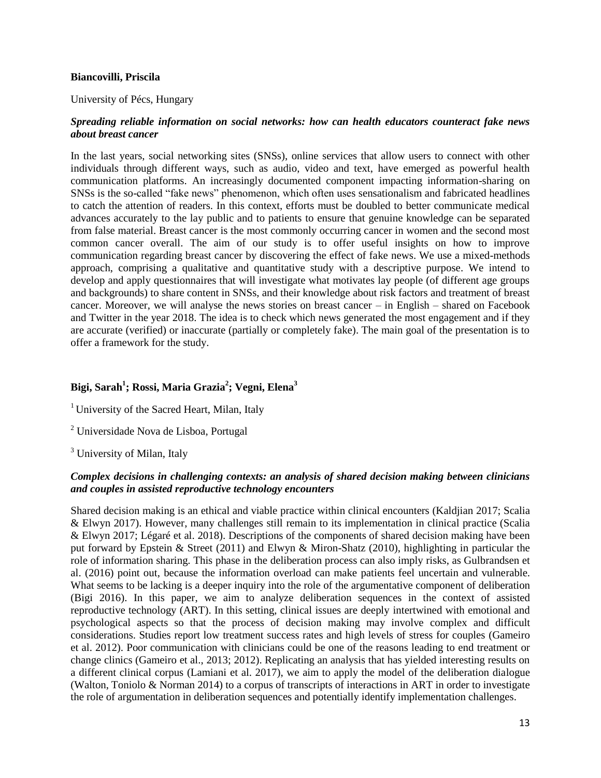#### **Biancovilli, Priscila**

#### University of Pécs, Hungary

# *Spreading reliable information on social networks: how can health educators counteract fake news about breast cancer*

In the last years, social networking sites (SNSs), online services that allow users to connect with other individuals through different ways, such as audio, video and text, have emerged as powerful health communication platforms. An increasingly documented component impacting information-sharing on SNSs is the so-called "fake news" phenomenon, which often uses sensationalism and fabricated headlines to catch the attention of readers. In this context, efforts must be doubled to better communicate medical advances accurately to the lay public and to patients to ensure that genuine knowledge can be separated from false material. Breast cancer is the most commonly occurring cancer in women and the second most common cancer overall. The aim of our study is to offer useful insights on how to improve communication regarding breast cancer by discovering the effect of fake news. We use a mixed-methods approach, comprising a qualitative and quantitative study with a descriptive purpose. We intend to develop and apply questionnaires that will investigate what motivates lay people (of different age groups and backgrounds) to share content in SNSs, and their knowledge about risk factors and treatment of breast cancer. Moreover, we will analyse the news stories on breast cancer – in English – shared on Facebook and Twitter in the year 2018. The idea is to check which news generated the most engagement and if they are accurate (verified) or inaccurate (partially or completely fake). The main goal of the presentation is to offer a framework for the study.

# **Bigi, Sarah<sup>1</sup> ; Rossi, Maria Grazia<sup>2</sup> ; Vegni, Elena<sup>3</sup>**

- <sup>1</sup> University of the Sacred Heart, Milan, Italy
- <sup>2</sup> Universidade Nova de Lisboa, Portugal
- <sup>3</sup> University of Milan, Italy

# *Complex decisions in challenging contexts: an analysis of shared decision making between clinicians and couples in assisted reproductive technology encounters*

Shared decision making is an ethical and viable practice within clinical encounters (Kaldjian 2017; Scalia & Elwyn 2017). However, many challenges still remain to its implementation in clinical practice (Scalia & Elwyn 2017; Légaré et al. 2018). Descriptions of the components of shared decision making have been put forward by Epstein & Street (2011) and Elwyn & Miron-Shatz (2010), highlighting in particular the role of information sharing. This phase in the deliberation process can also imply risks, as Gulbrandsen et al. (2016) point out, because the information overload can make patients feel uncertain and vulnerable. What seems to be lacking is a deeper inquiry into the role of the argumentative component of deliberation (Bigi 2016). In this paper, we aim to analyze deliberation sequences in the context of assisted reproductive technology (ART). In this setting, clinical issues are deeply intertwined with emotional and psychological aspects so that the process of decision making may involve complex and difficult considerations. Studies report low treatment success rates and high levels of stress for couples (Gameiro et al. 2012). Poor communication with clinicians could be one of the reasons leading to end treatment or change clinics (Gameiro et al., 2013; 2012). Replicating an analysis that has yielded interesting results on a different clinical corpus (Lamiani et al. 2017), we aim to apply the model of the deliberation dialogue (Walton, Toniolo & Norman 2014) to a corpus of transcripts of interactions in ART in order to investigate the role of argumentation in deliberation sequences and potentially identify implementation challenges.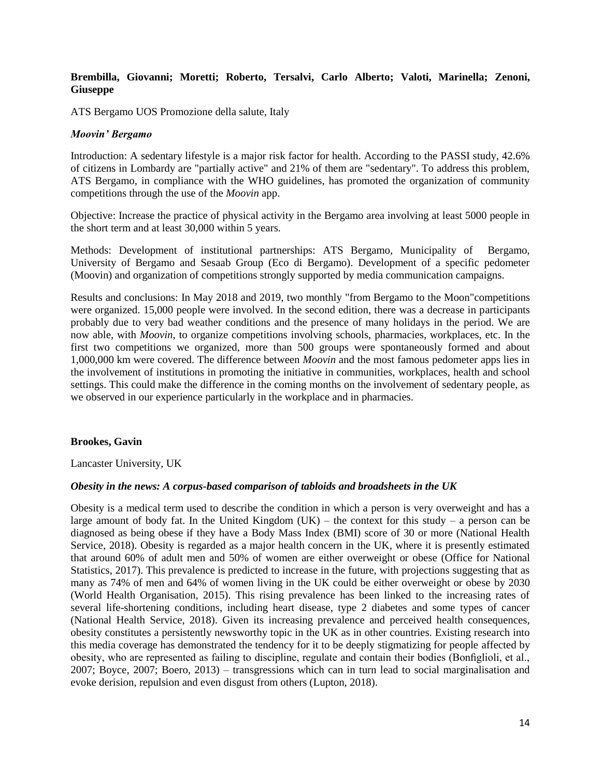#### **Brembilla, Giovanni; Moretti; Roberto, Tersalvi, Carlo Alberto; Valoti, Marinella; Zenoni, Giuseppe**

ATS Bergamo UOS Promozione della salute, Italy

#### *Moovin' Bergamo*

Introduction: A sedentary lifestyle is a major risk factor for health. According to the PASSI study, 42.6% of citizens in Lombardy are "partially active" and 21% of them are "sedentary". To address this problem, ATS Bergamo, in compliance with the WHO guidelines, has promoted the organization of community competitions through the use of the *Moovin* app.

Objective: Increase the practice of physical activity in the Bergamo area involving at least 5000 people in the short term and at least 30,000 within 5 years.

Methods: Development of institutional partnerships: ATS Bergamo, Municipality of Bergamo, University of Bergamo and Sesaab Group (Eco di Bergamo). Development of a specific pedometer (Moovin) and organization of competitions strongly supported by media communication campaigns.

Results and conclusions: In May 2018 and 2019, two monthly "from Bergamo to the Moon"competitions were organized. 15,000 people were involved. In the second edition, there was a decrease in participants probably due to very bad weather conditions and the presence of many holidays in the period. We are now able, with *Moovin*, to organize competitions involving schools, pharmacies, workplaces, etc. In the first two competitions we organized, more than 500 groups were spontaneously formed and about 1,000,000 km were covered. The difference between *Moovin* and the most famous pedometer apps lies in the involvement of institutions in promoting the initiative in communities, workplaces, health and school settings. This could make the difference in the coming months on the involvement of sedentary people, as we observed in our experience particularly in the workplace and in pharmacies.

#### **Brookes, Gavin**

Lancaster University, UK

#### *Obesity in the news: A corpus-based comparison of tabloids and broadsheets in the UK*

Obesity is a medical term used to describe the condition in which a person is very overweight and has a large amount of body fat. In the United Kingdom (UK) – the context for this study – a person can be diagnosed as being obese if they have a Body Mass Index (BMI) score of 30 or more (National Health Service, 2018). Obesity is regarded as a major health concern in the UK, where it is presently estimated that around 60% of adult men and 50% of women are either overweight or obese (Office for National Statistics, 2017). This prevalence is predicted to increase in the future, with projections suggesting that as many as 74% of men and 64% of women living in the UK could be either overweight or obese by 2030 (World Health Organisation, 2015). This rising prevalence has been linked to the increasing rates of several life-shortening conditions, including heart disease, type 2 diabetes and some types of cancer (National Health Service, 2018). Given its increasing prevalence and perceived health consequences, obesity constitutes a persistently newsworthy topic in the UK as in other countries. Existing research into this media coverage has demonstrated the tendency for it to be deeply stigmatizing for people affected by obesity, who are represented as failing to discipline, regulate and contain their bodies (Bonfiglioli, et al., 2007; Boyce, 2007; Boero, 2013) – transgressions which can in turn lead to social marginalisation and evoke derision, repulsion and even disgust from others (Lupton, 2018).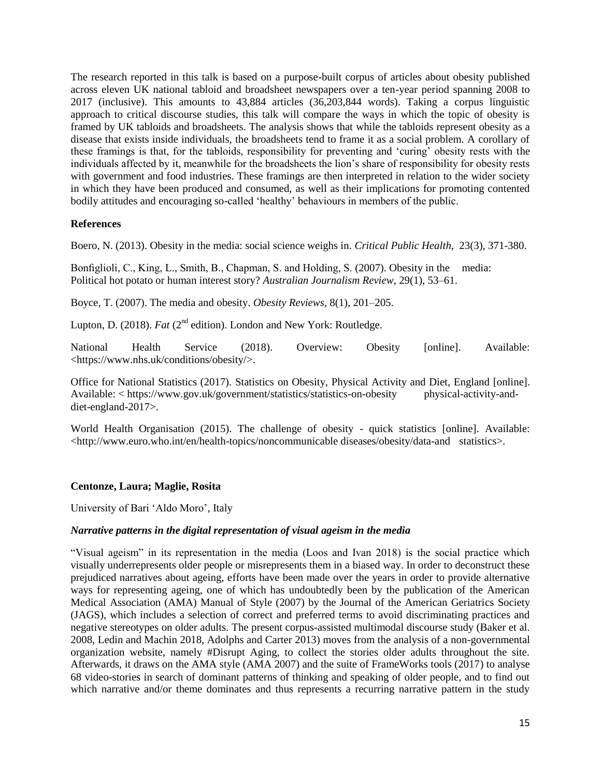The research reported in this talk is based on a purpose-built corpus of articles about obesity published across eleven UK national tabloid and broadsheet newspapers over a ten-year period spanning 2008 to 2017 (inclusive). This amounts to 43,884 articles (36,203,844 words). Taking a corpus linguistic approach to critical discourse studies, this talk will compare the ways in which the topic of obesity is framed by UK tabloids and broadsheets. The analysis shows that while the tabloids represent obesity as a disease that exists inside individuals, the broadsheets tend to frame it as a social problem. A corollary of these framings is that, for the tabloids, responsibility for preventing and 'curing' obesity rests with the individuals affected by it, meanwhile for the broadsheets the lion's share of responsibility for obesity rests with government and food industries. These framings are then interpreted in relation to the wider society in which they have been produced and consumed, as well as their implications for promoting contented bodily attitudes and encouraging so-called 'healthy' behaviours in members of the public.

# **References**

Boero, N. (2013). Obesity in the media: social science weighs in. *Critical Public Health*, 23(3), 371-380.

Bonfiglioli, C., King, L., Smith, B., Chapman, S. and Holding, S. (2007). Obesity in the media: Political hot potato or human interest story? *Australian Journalism Review*, 29(1), 53–61.

Boyce, T. (2007). The media and obesity. *Obesity Reviews*, 8(1), 201–205.

Lupton, D. (2018). *Fat* (2<sup>nd</sup> edition). London and New York: Routledge.

National Health Service (2018). Overview: Obesity [online]. Available: <https://www.nhs.uk/conditions/obesity/>.

Office for National Statistics (2017). Statistics on Obesity, Physical Activity and Diet, England [online]. Available: < https://www.gov.uk/government/statistics/statistics-on-obesity physical-activity-anddiet-england-2017>.

World Health Organisation (2015). The challenge of obesity - quick statistics [online]. Available: <http://www.euro.who.int/en/health-topics/noncommunicable diseases/obesity/data-and statistics>.

# **Centonze, Laura; Maglie, Rosita**

University of Bari 'Aldo Moro', Italy

#### *Narrative patterns in the digital representation of visual ageism in the media*

"Visual ageism" in its representation in the media (Loos and Ivan 2018) is the social practice which visually underrepresents older people or misrepresents them in a biased way. In order to deconstruct these prejudiced narratives about ageing, efforts have been made over the years in order to provide alternative ways for representing ageing, one of which has undoubtedly been by the publication of the American Medical Association (AMA) Manual of Style (2007) by the Journal of the American Geriatrics Society (JAGS), which includes a selection of correct and preferred terms to avoid discriminating practices and negative stereotypes on older adults. The present corpus-assisted multimodal discourse study (Baker et al. 2008, Ledin and Machin 2018, Adolphs and Carter 2013) moves from the analysis of a non-governmental organization website, namely #Disrupt Aging, to collect the stories older adults throughout the site. Afterwards, it draws on the AMA style (AMA 2007) and the suite of FrameWorks tools (2017) to analyse 68 video-stories in search of dominant patterns of thinking and speaking of older people, and to find out which narrative and/or theme dominates and thus represents a recurring narrative pattern in the study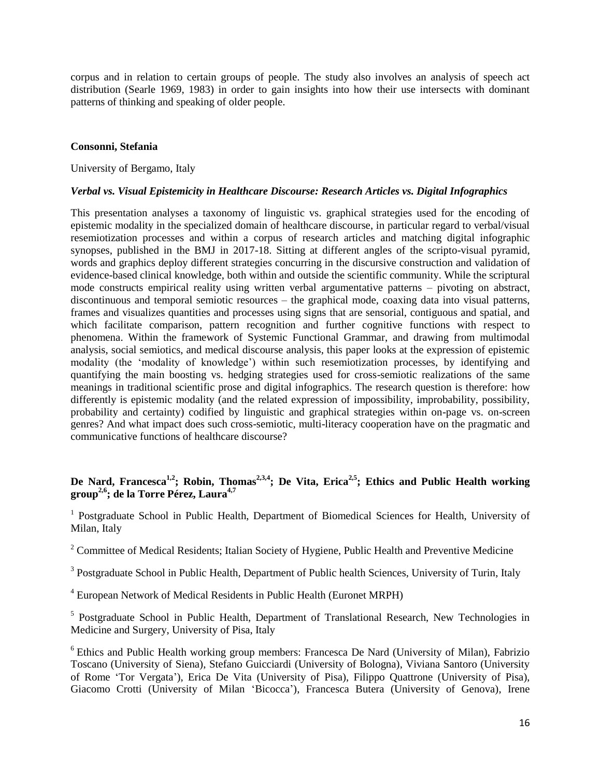corpus and in relation to certain groups of people. The study also involves an analysis of speech act distribution (Searle 1969, 1983) in order to gain insights into how their use intersects with dominant patterns of thinking and speaking of older people.

#### **Consonni, Stefania**

#### University of Bergamo, Italy

# *Verbal vs. Visual Epistemicity in Healthcare Discourse: Research Articles vs. Digital Infographics*

This presentation analyses a taxonomy of linguistic vs. graphical strategies used for the encoding of epistemic modality in the specialized domain of healthcare discourse, in particular regard to verbal/visual resemiotization processes and within a corpus of research articles and matching digital infographic synopses, published in the BMJ in 2017-18. Sitting at different angles of the scripto-visual pyramid, words and graphics deploy different strategies concurring in the discursive construction and validation of evidence-based clinical knowledge, both within and outside the scientific community. While the scriptural mode constructs empirical reality using written verbal argumentative patterns – pivoting on abstract, discontinuous and temporal semiotic resources – the graphical mode, coaxing data into visual patterns, frames and visualizes quantities and processes using signs that are sensorial, contiguous and spatial, and which facilitate comparison, pattern recognition and further cognitive functions with respect to phenomena. Within the framework of Systemic Functional Grammar, and drawing from multimodal analysis, social semiotics, and medical discourse analysis, this paper looks at the expression of epistemic modality (the 'modality of knowledge') within such resemiotization processes, by identifying and quantifying the main boosting vs. hedging strategies used for cross-semiotic realizations of the same meanings in traditional scientific prose and digital infographics. The research question is therefore: how differently is epistemic modality (and the related expression of impossibility, improbability, possibility, probability and certainty) codified by linguistic and graphical strategies within on-page vs. on-screen genres? And what impact does such cross-semiotic, multi-literacy cooperation have on the pragmatic and communicative functions of healthcare discourse?

# **De Nard, Francesca1,2; Robin, Thomas2,3,4; De Vita, Erica2,5; Ethics and Public Health working group2,6; de la Torre Pérez, Laura4,7**

<sup>1</sup> Postgraduate School in Public Health, Department of Biomedical Sciences for Health, University of Milan, Italy

<sup>2</sup> Committee of Medical Residents; Italian Society of Hygiene, Public Health and Preventive Medicine

<sup>3</sup> Postgraduate School in Public Health, Department of Public health Sciences, University of Turin, Italy

<sup>4</sup> European Network of Medical Residents in Public Health (Euronet MRPH)

<sup>5</sup> Postgraduate School in Public Health, Department of Translational Research, New Technologies in Medicine and Surgery, University of Pisa, Italy

 $6$  Ethics and Public Health working group members: Francesca De Nard (University of Milan), Fabrizio Toscano (University of Siena), Stefano Guicciardi (University of Bologna), Viviana Santoro (University of Rome 'Tor Vergata'), Erica De Vita (University of Pisa), Filippo Quattrone (University of Pisa), Giacomo Crotti (University of Milan 'Bicocca'), Francesca Butera (University of Genova), Irene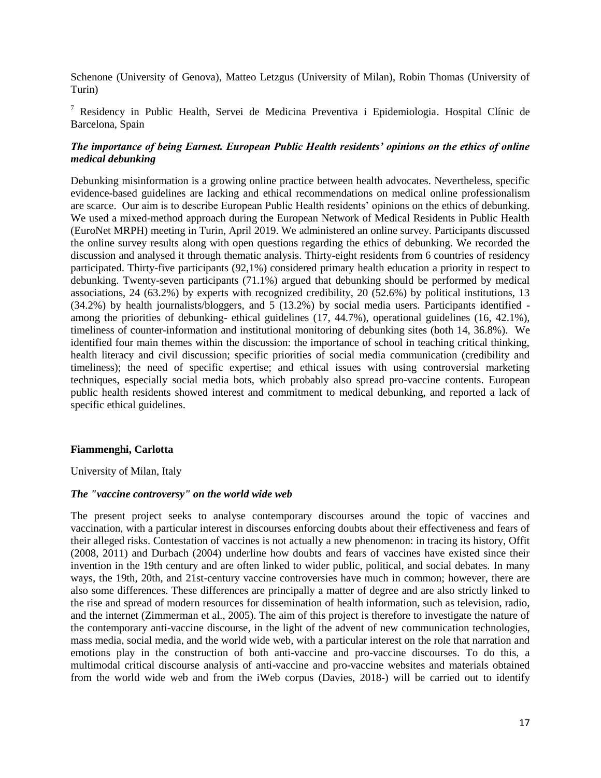Schenone (University of Genova), Matteo Letzgus (University of Milan), Robin Thomas (University of Turin)

<sup>7</sup> Residency in Public Health, Servei de Medicina Preventiva i Epidemiologia. Hospital Clínic de Barcelona, Spain

# *The importance of being Earnest. European Public Health residents' opinions on the ethics of online medical debunking*

Debunking misinformation is a growing online practice between health advocates. Nevertheless, specific evidence-based guidelines are lacking and ethical recommendations on medical online professionalism are scarce. Our aim is to describe European Public Health residents' opinions on the ethics of debunking. We used a mixed-method approach during the European Network of Medical Residents in Public Health (EuroNet MRPH) meeting in Turin, April 2019. We administered an online survey. Participants discussed the online survey results along with open questions regarding the ethics of debunking. We recorded the discussion and analysed it through thematic analysis. Thirty-eight residents from 6 countries of residency participated. Thirty-five participants (92,1%) considered primary health education a priority in respect to debunking. Twenty-seven participants (71.1%) argued that debunking should be performed by medical associations, 24 (63.2%) by experts with recognized credibility, 20 (52.6%) by political institutions, 13  $(34.2\%)$  by health journalists/bloggers, and 5 (13.2%) by social media users. Participants identified among the priorities of debunking- ethical guidelines (17, 44.7%), operational guidelines (16, 42.1%), timeliness of counter-information and institutional monitoring of debunking sites (both 14, 36.8%). We identified four main themes within the discussion: the importance of school in teaching critical thinking, health literacy and civil discussion; specific priorities of social media communication (credibility and timeliness); the need of specific expertise; and ethical issues with using controversial marketing techniques, especially social media bots, which probably also spread pro-vaccine contents. European public health residents showed interest and commitment to medical debunking, and reported a lack of specific ethical guidelines.

#### **Fiammenghi, Carlotta**

University of Milan, Italy

#### *The "vaccine controversy" on the world wide web*

The present project seeks to analyse contemporary discourses around the topic of vaccines and vaccination, with a particular interest in discourses enforcing doubts about their effectiveness and fears of their alleged risks. Contestation of vaccines is not actually a new phenomenon: in tracing its history, Offit (2008, 2011) and Durbach (2004) underline how doubts and fears of vaccines have existed since their invention in the 19th century and are often linked to wider public, political, and social debates. In many ways, the 19th, 20th, and 21st-century vaccine controversies have much in common; however, there are also some differences. These differences are principally a matter of degree and are also strictly linked to the rise and spread of modern resources for dissemination of health information, such as television, radio, and the internet (Zimmerman et al., 2005). The aim of this project is therefore to investigate the nature of the contemporary anti-vaccine discourse, in the light of the advent of new communication technologies, mass media, social media, and the world wide web, with a particular interest on the role that narration and emotions play in the construction of both anti-vaccine and pro-vaccine discourses. To do this, a multimodal critical discourse analysis of anti-vaccine and pro-vaccine websites and materials obtained from the world wide web and from the iWeb corpus (Davies, 2018-) will be carried out to identify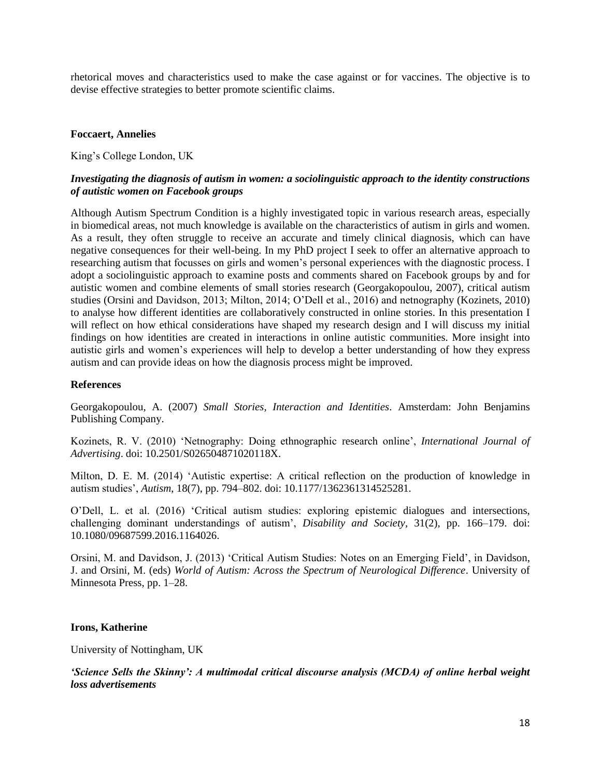rhetorical moves and characteristics used to make the case against or for vaccines. The objective is to devise effective strategies to better promote scientific claims.

#### **Foccaert, Annelies**

King's College London, UK

# *Investigating the diagnosis of autism in women: a sociolinguistic approach to the identity constructions of autistic women on Facebook groups*

Although Autism Spectrum Condition is a highly investigated topic in various research areas, especially in biomedical areas, not much knowledge is available on the characteristics of autism in girls and women. As a result, they often struggle to receive an accurate and timely clinical diagnosis, which can have negative consequences for their well-being. In my PhD project I seek to offer an alternative approach to researching autism that focusses on girls and women's personal experiences with the diagnostic process. I adopt a sociolinguistic approach to examine posts and comments shared on Facebook groups by and for autistic women and combine elements of small stories research (Georgakopoulou, 2007), critical autism studies (Orsini and Davidson, 2013; Milton, 2014; O'Dell et al., 2016) and netnography (Kozinets, 2010) to analyse how different identities are collaboratively constructed in online stories. In this presentation I will reflect on how ethical considerations have shaped my research design and I will discuss my initial findings on how identities are created in interactions in online autistic communities. More insight into autistic girls and women's experiences will help to develop a better understanding of how they express autism and can provide ideas on how the diagnosis process might be improved.

#### **References**

Georgakopoulou, A. (2007) *Small Stories, Interaction and Identities*. Amsterdam: John Benjamins Publishing Company.

Kozinets, R. V. (2010) 'Netnography: Doing ethnographic research online', *International Journal of Advertising*. doi: 10.2501/S026504871020118X.

Milton, D. E. M. (2014) 'Autistic expertise: A critical reflection on the production of knowledge in autism studies', *Autism*, 18(7), pp. 794–802. doi: 10.1177/1362361314525281.

O'Dell, L. et al. (2016) 'Critical autism studies: exploring epistemic dialogues and intersections, challenging dominant understandings of autism', *Disability and Society*, 31(2), pp. 166–179. doi: 10.1080/09687599.2016.1164026.

Orsini, M. and Davidson, J. (2013) 'Critical Autism Studies: Notes on an Emerging Field', in Davidson, J. and Orsini, M. (eds) *World of Autism: Across the Spectrum of Neurological Difference*. University of Minnesota Press, pp. 1–28.

# **Irons, Katherine**

University of Nottingham, UK

*'Science Sells the Skinny': A multimodal critical discourse analysis (MCDA) of online herbal weight loss advertisements*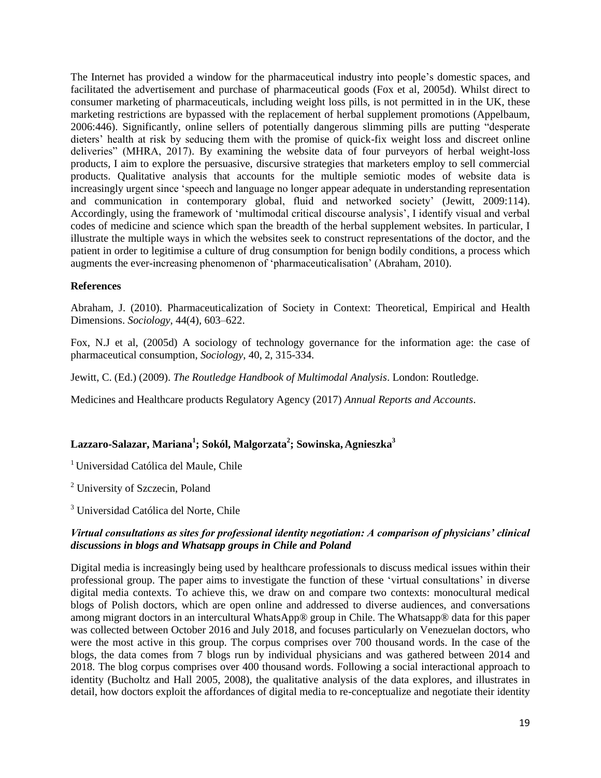The Internet has provided a window for the pharmaceutical industry into people's domestic spaces, and facilitated the advertisement and purchase of pharmaceutical goods (Fox et al, 2005d). Whilst direct to consumer marketing of pharmaceuticals, including weight loss pills, is not permitted in in the UK, these marketing restrictions are bypassed with the replacement of herbal supplement promotions (Appelbaum, 2006:446). Significantly, online sellers of potentially dangerous slimming pills are putting "desperate dieters' health at risk by seducing them with the promise of quick-fix weight loss and discreet online deliveries" (MHRA, 2017). By examining the website data of four purveyors of herbal weight-loss products, I aim to explore the persuasive, discursive strategies that marketers employ to sell commercial products. Qualitative analysis that accounts for the multiple semiotic modes of website data is increasingly urgent since 'speech and language no longer appear adequate in understanding representation and communication in contemporary global, fluid and networked society' (Jewitt, 2009:114). Accordingly, using the framework of 'multimodal critical discourse analysis', I identify visual and verbal codes of medicine and science which span the breadth of the herbal supplement websites. In particular, I illustrate the multiple ways in which the websites seek to construct representations of the doctor, and the patient in order to legitimise a culture of drug consumption for benign bodily conditions, a process which augments the ever-increasing phenomenon of 'pharmaceuticalisation' (Abraham, 2010).

# **References**

Abraham, J. (2010). Pharmaceuticalization of Society in Context: Theoretical, Empirical and Health Dimensions. *Sociology*, 44(4), 603–622.

Fox, N.J et al, (2005d) A sociology of technology governance for the information age: the case of pharmaceutical consumption, *Sociology*, 40, 2, 315-334.

Jewitt, C. (Ed.) (2009). *The Routledge Handbook of Multimodal Analysis*. London: Routledge.

Medicines and Healthcare products Regulatory Agency (2017) *Annual Reports and Accounts*.

# **Lazzaro-Salazar, Mariana<sup>1</sup> ; Sokól, Malgorzata<sup>2</sup> ; Sowinska, Agnieszka<sup>3</sup>**

<sup>1</sup>Universidad Católica del Maule, Chile

<sup>2</sup> University of Szczecin, Poland

<sup>3</sup> Universidad Católica del Norte, Chile

# *Virtual consultations as sites for professional identity negotiation: A comparison of physicians' clinical discussions in blogs and Whatsapp groups in Chile and Poland*

Digital media is increasingly being used by healthcare professionals to discuss medical issues within their professional group. The paper aims to investigate the function of these 'virtual consultations' in diverse digital media contexts. To achieve this, we draw on and compare two contexts: monocultural medical blogs of Polish doctors, which are open online and addressed to diverse audiences, and conversations among migrant doctors in an intercultural WhatsApp® group in Chile. The Whatsapp® data for this paper was collected between October 2016 and July 2018, and focuses particularly on Venezuelan doctors, who were the most active in this group. The corpus comprises over 700 thousand words. In the case of the blogs, the data comes from 7 blogs run by individual physicians and was gathered between 2014 and 2018. The blog corpus comprises over 400 thousand words. Following a social interactional approach to identity (Bucholtz and Hall 2005, 2008), the qualitative analysis of the data explores, and illustrates in detail, how doctors exploit the affordances of digital media to re-conceptualize and negotiate their identity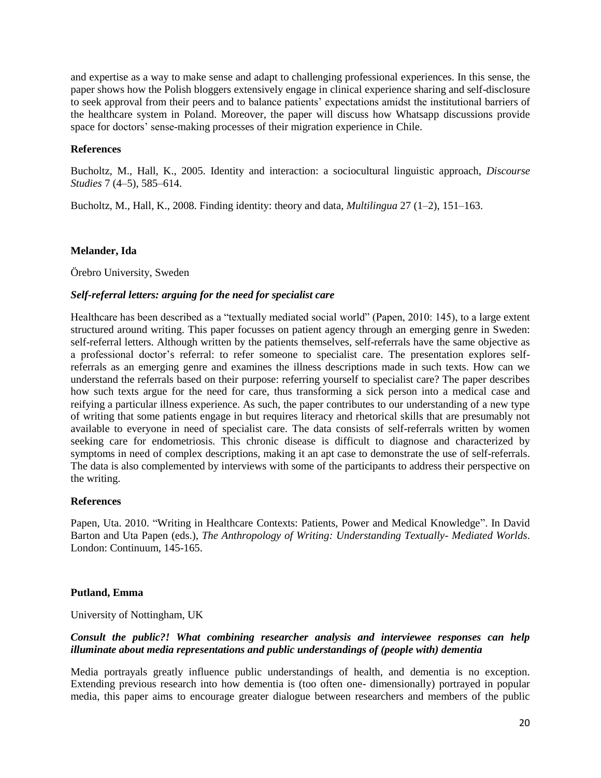and expertise as a way to make sense and adapt to challenging professional experiences. In this sense, the paper shows how the Polish bloggers extensively engage in clinical experience sharing and self-disclosure to seek approval from their peers and to balance patients' expectations amidst the institutional barriers of the healthcare system in Poland. Moreover, the paper will discuss how Whatsapp discussions provide space for doctors' sense-making processes of their migration experience in Chile.

# **References**

Bucholtz, M., Hall, K., 2005. Identity and interaction: a sociocultural linguistic approach, *Discourse Studies* 7 (4–5), 585–614.

Bucholtz, M., Hall, K., 2008. Finding identity: theory and data, *Multilingua* 27 (1–2), 151–163.

# **Melander, Ida**

Örebro University, Sweden

# *Self-referral letters: arguing for the need for specialist care*

Healthcare has been described as a "textually mediated social world" (Papen, 2010: 145), to a large extent structured around writing. This paper focusses on patient agency through an emerging genre in Sweden: self-referral letters. Although written by the patients themselves, self-referrals have the same objective as a professional doctor's referral: to refer someone to specialist care. The presentation explores selfreferrals as an emerging genre and examines the illness descriptions made in such texts. How can we understand the referrals based on their purpose: referring yourself to specialist care? The paper describes how such texts argue for the need for care, thus transforming a sick person into a medical case and reifying a particular illness experience. As such, the paper contributes to our understanding of a new type of writing that some patients engage in but requires literacy and rhetorical skills that are presumably not available to everyone in need of specialist care. The data consists of self-referrals written by women seeking care for endometriosis. This chronic disease is difficult to diagnose and characterized by symptoms in need of complex descriptions, making it an apt case to demonstrate the use of self-referrals. The data is also complemented by interviews with some of the participants to address their perspective on the writing.

# **References**

Papen, Uta. 2010. "Writing in Healthcare Contexts: Patients, Power and Medical Knowledge". In David Barton and Uta Papen (eds.), *The Anthropology of Writing: Understanding Textually- Mediated Worlds*. London: Continuum, 145-165.

# **Putland, Emma**

University of Nottingham, UK

# *Consult the public?! What combining researcher analysis and interviewee responses can help illuminate about media representations and public understandings of (people with) dementia*

Media portrayals greatly influence public understandings of health, and dementia is no exception. Extending previous research into how dementia is (too often one- dimensionally) portrayed in popular media, this paper aims to encourage greater dialogue between researchers and members of the public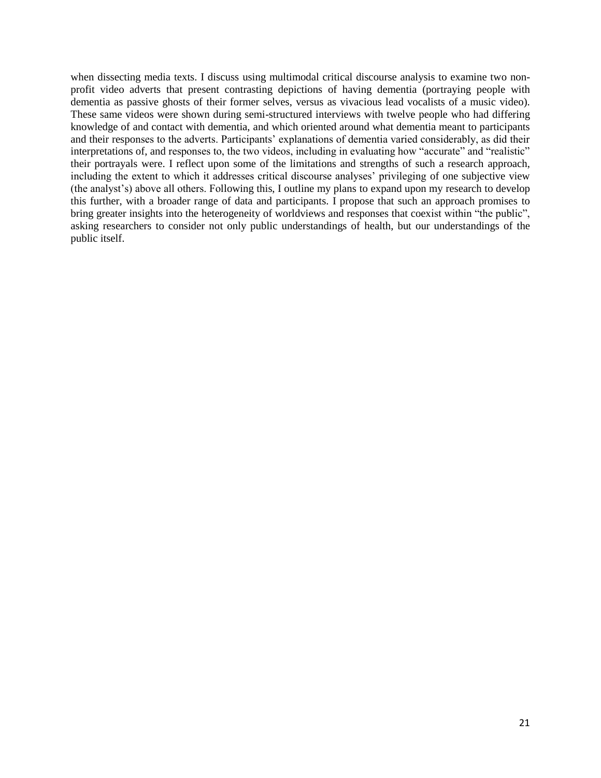when dissecting media texts. I discuss using multimodal critical discourse analysis to examine two nonprofit video adverts that present contrasting depictions of having dementia (portraying people with dementia as passive ghosts of their former selves, versus as vivacious lead vocalists of a music video). These same videos were shown during semi-structured interviews with twelve people who had differing knowledge of and contact with dementia, and which oriented around what dementia meant to participants and their responses to the adverts. Participants' explanations of dementia varied considerably, as did their interpretations of, and responses to, the two videos, including in evaluating how "accurate" and "realistic" their portrayals were. I reflect upon some of the limitations and strengths of such a research approach, including the extent to which it addresses critical discourse analyses' privileging of one subjective view (the analyst's) above all others. Following this, I outline my plans to expand upon my research to develop this further, with a broader range of data and participants. I propose that such an approach promises to bring greater insights into the heterogeneity of worldviews and responses that coexist within "the public", asking researchers to consider not only public understandings of health, but our understandings of the public itself.